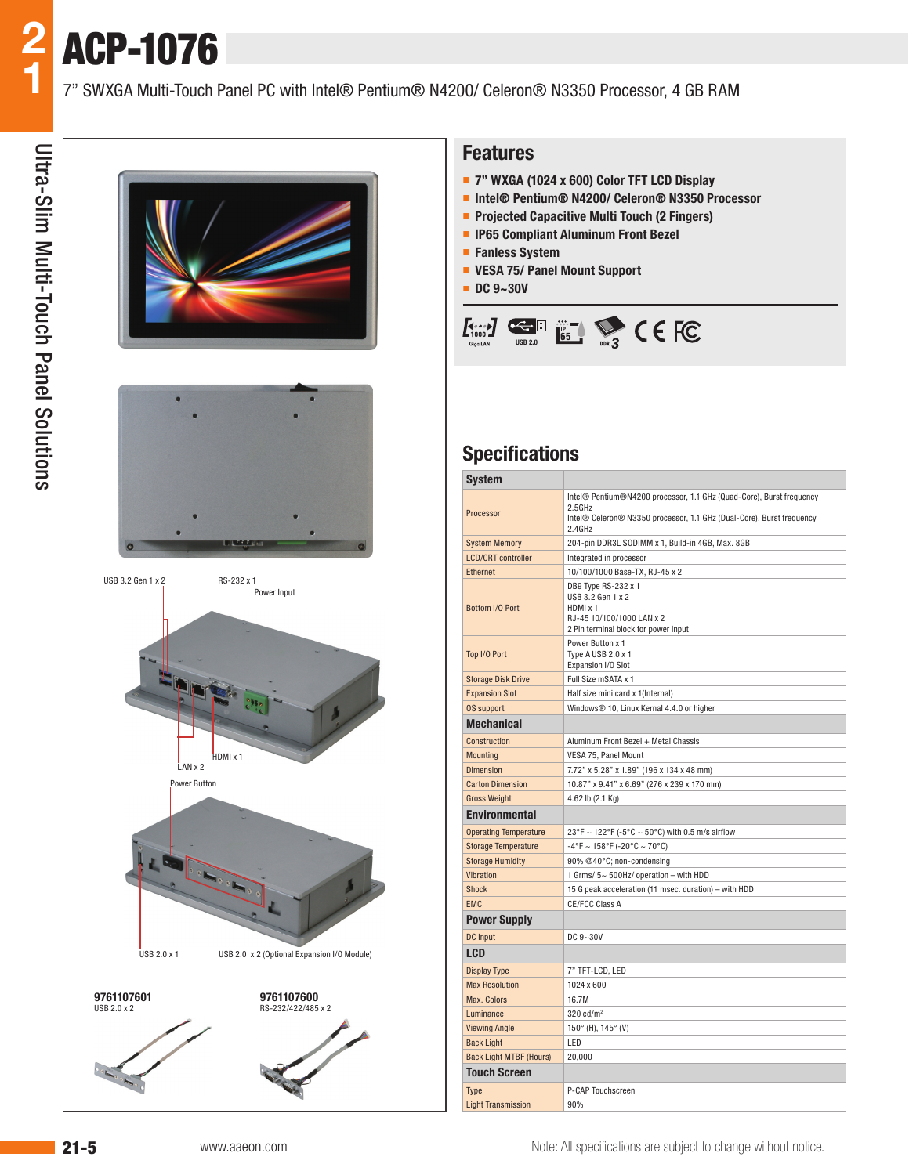





#### **Features**

- **7" WXGA (1024 x 600) Color TFT LCD Display**
- **Intel® Pentium® N4200/ Celeron® N3350 Processor**
- **Projected Capacitive Multi Touch (2 Fingers)**
- **IP65 Compliant Aluminum Front Bezel**
- **Fanless System**
- **VESA 75/ Panel Mount Support**
- **DC 9~30V**



### **Specifications**

| <b>System</b>                  |                                                                                                                                                                   |  |  |  |  |  |  |  |  |  |
|--------------------------------|-------------------------------------------------------------------------------------------------------------------------------------------------------------------|--|--|--|--|--|--|--|--|--|
| Processor                      | Intel® Pentium®N4200 processor, 1.1 GHz (Quad-Core), Burst frequency<br>2.5GHz<br>Intel® Celeron® N3350 processor, 1.1 GHz (Dual-Core), Burst frequency<br>2.4GHz |  |  |  |  |  |  |  |  |  |
| <b>System Memory</b>           | 204-pin DDR3L SODIMM x 1, Build-in 4GB, Max. 8GB                                                                                                                  |  |  |  |  |  |  |  |  |  |
| <b>LCD/CRT</b> controller      | Integrated in processor                                                                                                                                           |  |  |  |  |  |  |  |  |  |
| <b>Ethernet</b>                | 10/100/1000 Base-TX, RJ-45 x 2                                                                                                                                    |  |  |  |  |  |  |  |  |  |
| Bottom I/O Port                | DB9 Type RS-232 x 1<br>USB 3.2 Gen 1 x 2<br>HDMI x 1<br>RJ-45 10/100/1000 LAN x 2<br>2 Pin terminal block for power input                                         |  |  |  |  |  |  |  |  |  |
| Top I/O Port                   | Power Button x 1<br>Type A USB 2.0 x 1<br>Expansion I/O Slot                                                                                                      |  |  |  |  |  |  |  |  |  |
| <b>Storage Disk Drive</b>      | Full Size mSATA x 1                                                                                                                                               |  |  |  |  |  |  |  |  |  |
| <b>Expansion Slot</b>          | Half size mini card x 1(Internal)                                                                                                                                 |  |  |  |  |  |  |  |  |  |
| <b>OS support</b>              | Windows <sup>®</sup> 10, Linux Kernal 4.4.0 or higher                                                                                                             |  |  |  |  |  |  |  |  |  |
| <b>Mechanical</b>              |                                                                                                                                                                   |  |  |  |  |  |  |  |  |  |
| Construction                   | Aluminum Front Bezel + Metal Chassis                                                                                                                              |  |  |  |  |  |  |  |  |  |
| <b>Mounting</b>                | VESA 75, Panel Mount                                                                                                                                              |  |  |  |  |  |  |  |  |  |
| <b>Dimension</b>               | 7.72" x 5.28" x 1.89" (196 x 134 x 48 mm)                                                                                                                         |  |  |  |  |  |  |  |  |  |
| <b>Carton Dimension</b>        | 10.87" x 9.41" x 6.69" (276 x 239 x 170 mm)                                                                                                                       |  |  |  |  |  |  |  |  |  |
| <b>Gross Weight</b>            | 4.62 lb (2.1 Kg)                                                                                                                                                  |  |  |  |  |  |  |  |  |  |
| <b>Environmental</b>           |                                                                                                                                                                   |  |  |  |  |  |  |  |  |  |
| <b>Operating Temperature</b>   | 23°F ~ 122°F (-5°C ~ 50°C) with 0.5 m/s airflow                                                                                                                   |  |  |  |  |  |  |  |  |  |
| <b>Storage Temperature</b>     | $-4^{\circ}$ F ~ 158°F (-20°C ~ 70°C)                                                                                                                             |  |  |  |  |  |  |  |  |  |
| <b>Storage Humidity</b>        | 90% @40°C; non-condensing                                                                                                                                         |  |  |  |  |  |  |  |  |  |
| Vibration                      | 1 Grms/ 5~ 500Hz/ operation - with HDD                                                                                                                            |  |  |  |  |  |  |  |  |  |
| <b>Shock</b>                   | 15 G peak acceleration (11 msec. duration) - with HDD                                                                                                             |  |  |  |  |  |  |  |  |  |
| <b>EMC</b>                     | CE/FCC Class A                                                                                                                                                    |  |  |  |  |  |  |  |  |  |
| <b>Power Supply</b>            |                                                                                                                                                                   |  |  |  |  |  |  |  |  |  |
| DC input                       | DC 9~30V                                                                                                                                                          |  |  |  |  |  |  |  |  |  |
| LCD                            |                                                                                                                                                                   |  |  |  |  |  |  |  |  |  |
| <b>Display Type</b>            | 7" TFT-LCD, LED                                                                                                                                                   |  |  |  |  |  |  |  |  |  |
| <b>Max Resolution</b>          | 1024 x 600                                                                                                                                                        |  |  |  |  |  |  |  |  |  |
| Max. Colors                    | 16.7M                                                                                                                                                             |  |  |  |  |  |  |  |  |  |
| Luminance                      | $320 \text{ cd/m}^2$                                                                                                                                              |  |  |  |  |  |  |  |  |  |
| <b>Viewing Angle</b>           | $150^{\circ}$ (H), $145^{\circ}$ (V)                                                                                                                              |  |  |  |  |  |  |  |  |  |
| <b>Back Light</b>              | LED                                                                                                                                                               |  |  |  |  |  |  |  |  |  |
| <b>Back Light MTBF (Hours)</b> | 20,000                                                                                                                                                            |  |  |  |  |  |  |  |  |  |
| <b>Touch Screen</b>            |                                                                                                                                                                   |  |  |  |  |  |  |  |  |  |
| Type                           | P-CAP Touchscreen                                                                                                                                                 |  |  |  |  |  |  |  |  |  |
| <b>Light Transmission</b>      | 90%                                                                                                                                                               |  |  |  |  |  |  |  |  |  |